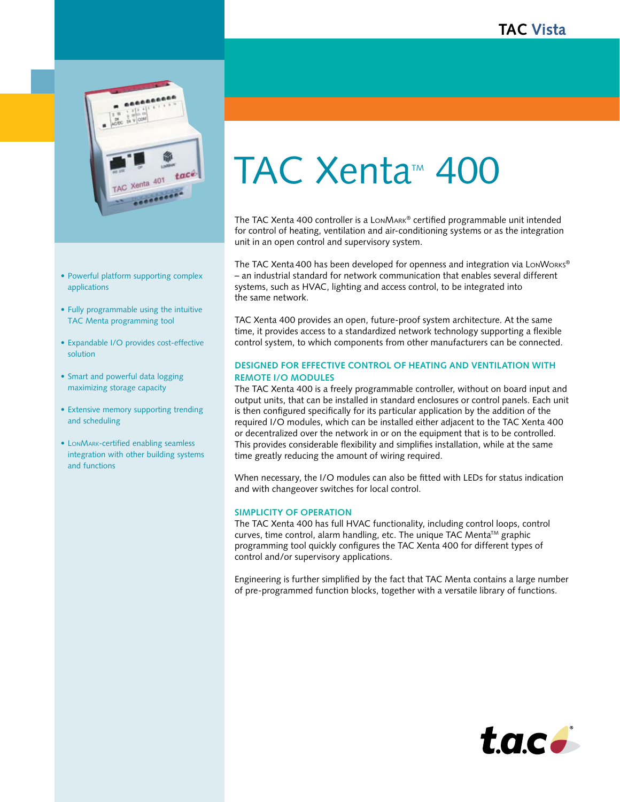

- Powerful platform supporting complex applications
- Fully programmable using the intuitive TAC Menta programming tool
- Expandable I/O provides cost-effective solution
- Smart and powerful data logging maximizing storage capacity
- Extensive memory supporting trending and scheduling
- LonMark-certified enabling seamless integration with other building systems and functions

# TAC Xenta<sup>™</sup> 400

The TAC Xenta 400 controller is a LonMark® certified programmable unit intended for control of heating, ventilation and air-conditioning systems or as the integration unit in an open control and supervisory system.

The TAC Xenta 400 has been developed for openness and integration via LonWorks® – an industrial standard for network communication that enables several different systems, such as HVAC, lighting and access control, to be integrated into the same network.

TAC Xenta 400 provides an open, future-proof system architecture. At the same time, it provides access to a standardized network technology supporting a flexible control system, to which components from other manufacturers can be connected.

# **Designed for effective control of heating and ventilation with remote I/O modules**

The TAC Xenta 400 is a freely programmable controller, without on board input and output units, that can be installed in standard enclosures or control panels. Each unit is then configured specifically for its particular application by the addition of the required I/O modules, which can be installed either adjacent to the TAC Xenta 400 or decentralized over the network in or on the equipment that is to be controlled. This provides considerable flexibility and simplifies installation, while at the same time greatly reducing the amount of wiring required.

When necessary, the I/O modules can also be fitted with LEDs for status indication and with changeover switches for local control.

## **Simplicity of operation**

The TAC Xenta 400 has full HVAC functionality, including control loops, control curves, time control, alarm handling, etc. The unique TAC Menta™ graphic programming tool quickly configures the TAC Xenta 400 for different types of control and/or supervisory applications.

Engineering is further simplified by the fact that TAC Menta contains a large number of pre-programmed function blocks, together with a versatile library of functions.